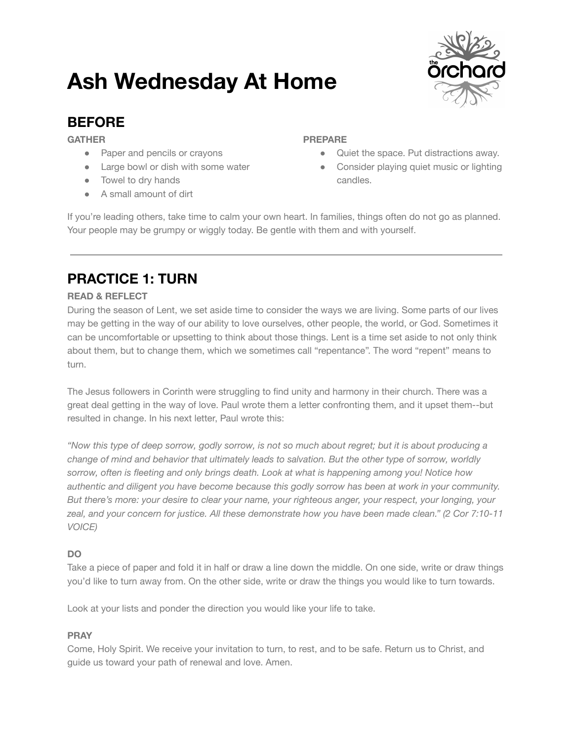# **Ash Wednesday At Home**



### **BEFORE**

**GATHER**

- Paper and pencils or crayons
- Large bowl or dish with some water
- Towel to dry hands
- A small amount of dirt

#### **PREPARE**

- Quiet the space. Put distractions away.
- Consider playing quiet music or lighting candles.

If you're leading others, take time to calm your own heart. In families, things often do not go as planned. Your people may be grumpy or wiggly today. Be gentle with them and with yourself.

# **PRACTICE 1: TURN**

#### **READ & REFLECT**

During the season of Lent, we set aside time to consider the ways we are living. Some parts of our lives may be getting in the way of our ability to love ourselves, other people, the world, or God. Sometimes it can be uncomfortable or upsetting to think about those things. Lent is a time set aside to not only think about them, but to change them, which we sometimes call "repentance". The word "repent" means to turn.

The Jesus followers in Corinth were struggling to find unity and harmony in their church. There was a great deal getting in the way of love. Paul wrote them a letter confronting them, and it upset them--but resulted in change. In his next letter, Paul wrote this:

"Now this type of deep sorrow, godly sorrow, is not so much about regret; but it is about producing a *change of mind and behavior that ultimately leads to salvation. But the other type of sorrow, worldly sorrow, often is fleeting and only brings death. Look at what is happening among you! Notice how authentic and diligent you have become because this godly sorrow has been at work in your community. But there's more: your desire to clear your name, your righteous anger, your respect, your longing, your* zeal, and your concern for justice. All these demonstrate how you have been made clean." (2 Cor 7:10-11 *VOICE)*

#### **DO**

Take a piece of paper and fold it in half or draw a line down the middle. On one side, write or draw things you'd like to turn away from. On the other side, write or draw the things you would like to turn towards.

Look at your lists and ponder the direction you would like your life to take.

#### **PRAY**

Come, Holy Spirit. We receive your invitation to turn, to rest, and to be safe. Return us to Christ, and guide us toward your path of renewal and love. Amen.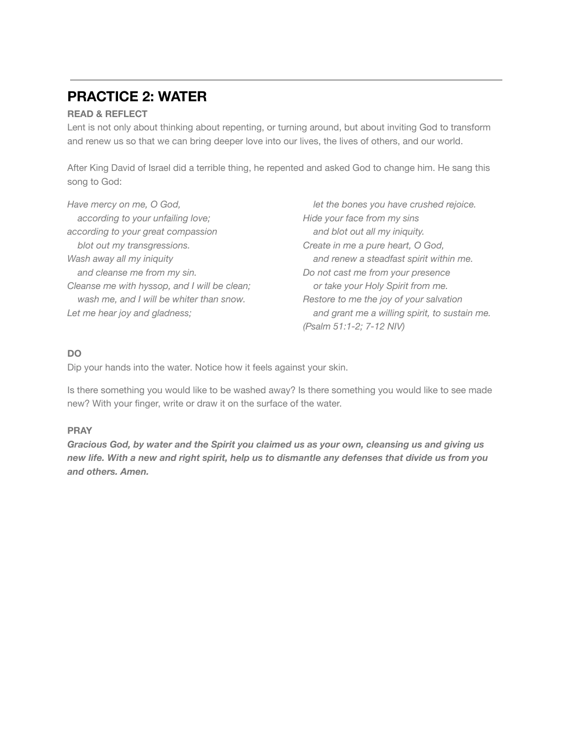### **PRACTICE 2: WATER**

#### **READ & REFLECT**

Lent is not only about thinking about repenting, or turning around, but about inviting God to transform and renew us so that we can bring deeper love into our lives, the lives of others, and our world.

After King David of Israel did a terrible thing, he repented and asked God to change him. He sang this song to God:

*Have mercy on me, O God, according to your unfailing love; according to your great compassion blot out my transgressions. Wash away all my iniquity and cleanse me from my sin. Cleanse me with hyssop, and I will be clean; wash me, and I will be whiter than snow. Let me hear joy and gladness;*

*let the bones you have crushed rejoice. Hide your face from my sins and blot out all my iniquity. Create in me a pure heart, O God, and renew a steadfast spirit within me. Do not cast me from your presence or take your Holy Spirit from me. Restore to me the joy of your salvation and grant me a willing spirit, to sustain me. (Psalm 51:1-2; 7-12 NIV)*

#### **DO**

Dip your hands into the water. Notice how it feels against your skin.

Is there something you would like to be washed away? Is there something you would like to see made new? With your finger, write or draw it on the surface of the water.

#### **PRAY**

*Gracious God, by water and the Spirit you claimed us as your own, cleansing us and giving us* new life. With a new and right spirit, help us to dismantle any defenses that divide us from you *and others. Amen.*